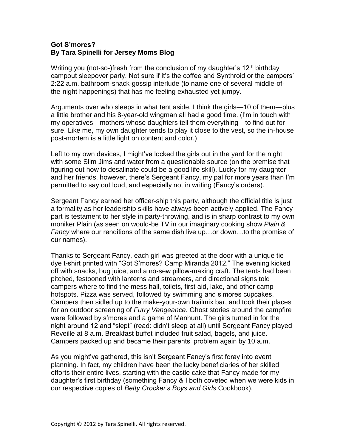## **Got S'mores? By Tara Spinelli for Jersey Moms Blog**

Writing you (not-so-)fresh from the conclusion of my daughter's  $12<sup>th</sup>$  birthday campout sleepover party. Not sure if it's the coffee and Synthroid or the campers' 2:22 a.m. bathroom-snack-gossip interlude (to name one of several middle-ofthe-night happenings) that has me feeling exhausted yet jumpy.

Arguments over who sleeps in what tent aside, I think the girls—10 of them—plus a little brother and his 8-year-old wingman all had a good time. (I'm in touch with my operatives—mothers whose daughters tell them everything—to find out for sure. Like me, my own daughter tends to play it close to the vest, so the in-house post-mortem is a little light on content and color.)

Left to my own devices, I might've locked the girls out in the yard for the night with some Slim Jims and water from a questionable source (on the premise that figuring out how to desalinate could be a good life skill). Lucky for my daughter and her friends, however, there's Sergeant Fancy, my pal for more years than I'm permitted to say out loud, and especially not in writing (Fancy's orders).

Sergeant Fancy earned her officer-ship this party, although the official title is just a formality as her leadership skills have always been actively applied. The Fancy part is testament to her style in party-throwing, and is in sharp contrast to my own moniker Plain (as seen on would-be TV in our imaginary cooking show *Plain & Fancy* where our renditions of the same dish live up…or down…to the promise of our names).

Thanks to Sergeant Fancy, each girl was greeted at the door with a unique tiedye t-shirt printed with "Got S'mores? Camp Miranda 2012." The evening kicked off with snacks, bug juice, and a no-sew pillow-making craft. The tents had been pitched, festooned with lanterns and streamers, and directional signs told campers where to find the mess hall, toilets, first aid, lake, and other camp hotspots. Pizza was served, followed by swimming and s'mores cupcakes. Campers then sidled up to the make-your-own trailmix bar, and took their places for an outdoor screening of *Furry Vengeance*. Ghost stories around the campfire were followed by s'mores and a game of Manhunt. The girls turned in for the night around 12 and "slept" (read: didn't sleep at all) until Sergeant Fancy played Reveille at 8 a.m. Breakfast buffet included fruit salad, bagels, and juice. Campers packed up and became their parents' problem again by 10 a.m.

As you might've gathered, this isn't Sergeant Fancy's first foray into event planning. In fact, my children have been the lucky beneficiaries of her skilled efforts their entire lives, starting with the castle cake that Fancy made for my daughter's first birthday (something Fancy & I both coveted when we were kids in our respective copies of *Betty Crocker's Boys and Girls* Cookbook).